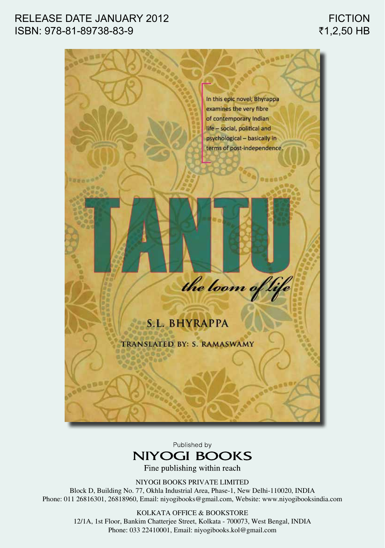## RELEASE DATE JANUARY 2012 ISBN: 978-81-89738-83-9



Published by



Fine publishing within reach

NIYOGI BOOKS PRIVATE LIMITED

Block D, Building No. 77, Okhla Industrial Area, Phase-1, New Delhi-110020, INDIA Phone: 011 26816301, 26818960, Email: niyogibooks@gmail.com, Website: www.niyogibooksindia.com

> KOLKATA OFFICE & BOOKSTORE 12/1A, 1st Floor, Bankim Chatterjee Street, Kolkata - 700073, West Bengal, INDIA Phone: 033 22410001, Email: niyogibooks.kol@gmail.com